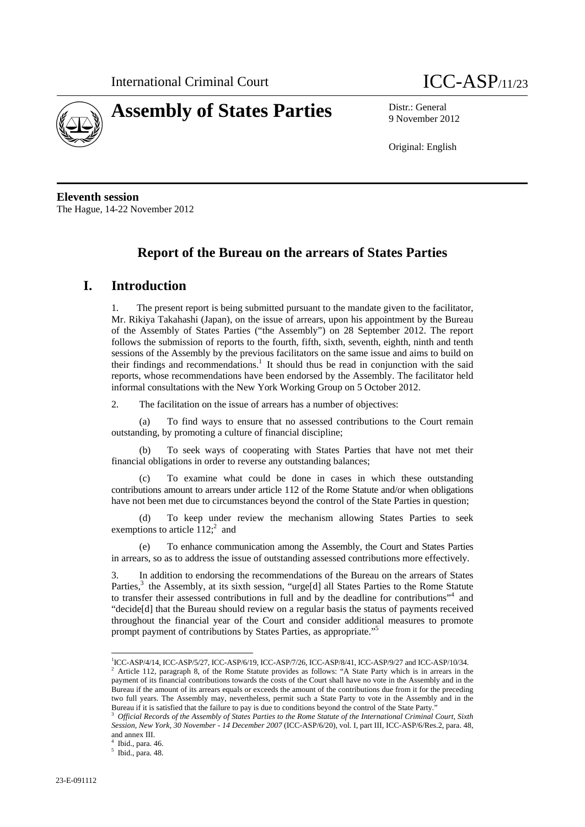



9 November 2012

Original: English

**Eleventh session**  The Hague, 14-22 November 2012

# **Report of the Bureau on the arrears of States Parties**

### **I. Introduction**

The present report is being submitted pursuant to the mandate given to the facilitator, Mr. Rikiya Takahashi (Japan), on the issue of arrears, upon his appointment by the Bureau of the Assembly of States Parties ("the Assembly") on 28 September 2012. The report follows the submission of reports to the fourth, fifth, sixth, seventh, eighth, ninth and tenth sessions of the Assembly by the previous facilitators on the same issue and aims to build on their findings and recommendations.<sup>1</sup> It should thus be read in conjunction with the said reports, whose recommendations have been endorsed by the Assembly. The facilitator held informal consultations with the New York Working Group on 5 October 2012.

2. The facilitation on the issue of arrears has a number of objectives:

(a) To find ways to ensure that no assessed contributions to the Court remain outstanding, by promoting a culture of financial discipline;

(b) To seek ways of cooperating with States Parties that have not met their financial obligations in order to reverse any outstanding balances;

To examine what could be done in cases in which these outstanding contributions amount to arrears under article 112 of the Rome Statute and/or when obligations have not been met due to circumstances beyond the control of the State Parties in question;

(d) To keep under review the mechanism allowing States Parties to seek exemptions to article  $112$ ;<sup>2</sup> and

(e) To enhance communication among the Assembly, the Court and States Parties in arrears, so as to address the issue of outstanding assessed contributions more effectively.

3. In addition to endorsing the recommendations of the Bureau on the arrears of States Parties,<sup>3</sup> the Assembly, at its sixth session, "urge[d] all States Parties to the Rome Statute to transfer their assessed contributions in full and by the deadline for contributions"<sup>4</sup> and "decide[d] that the Bureau should review on a regular basis the status of payments received throughout the financial year of the Court and consider additional measures to promote prompt payment of contributions by States Parties, as appropriate."5

 $\overline{a}$ 

 $^{1}$ ICC-ASP/4/14, ICC-ASP/5/27, ICC-ASP/6/19, ICC-ASP/7/26, ICC-ASP/8/41, ICC-ASP/9/27 and ICC-ASP/10/34. <sup>2</sup> Article 112, paragraph 8, of the Rome Statute provides as follows: "A State Party which is in arrears in the payment of its financial contributions towards the costs of the Court shall have no vote in the Assembly and in the Bureau if the amount of its arrears equals or exceeds the amount of the contributions due from it for the preceding two full years. The Assembly may, nevertheless, permit such a State Party to vote in the Assembly and in the Bureau if it is satisfied that the failure to pay is due to conditions beyond the control of the State Party."<br><sup>3</sup> Official Records of the Assembly of States Parties to the Rome Statute of the International Criminal Court,

*Session, New York, 30 November - 14 December 2007* (ICC-ASP/6/20), vol. I, part III, ICC-ASP/6/Res.2, para. 48, and annex III.

<sup>4</sup> Ibid., para. 46.

<sup>5</sup> Ibid., para. 48.